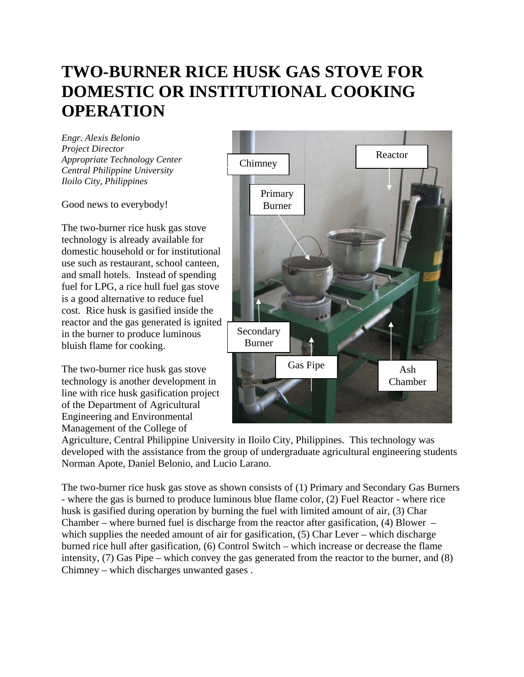## **TWO-BURNER RICE HUSK GAS STOVE FOR DOMESTIC OR INSTITUTIONAL COOKING OPERATION**

*Engr. Alexis Belonio Project Director Appropriate Technology Center Central Philippine University Iloilo City, Philippines* 

Good news to everybody!

The two-burner rice husk gas stove technology is already available for domestic household or for institutional use such as restaurant, school canteen, and small hotels. Instead of spending fuel for LPG, a rice hull fuel gas stove is a good alternative to reduce fuel cost. Rice husk is gasified inside the reactor and the gas generated is ignited in the burner to produce luminous bluish flame for cooking.

The two-burner rice husk gas stove technology is another development in line with rice husk gasification project of the Department of Agricultural Engineering and Environmental Management of the College of



Agriculture, Central Philippine University in Iloilo City, Philippines. This technology was developed with the assistance from the group of undergraduate agricultural engineering students Norman Apote, Daniel Belonio, and Lucio Larano.

The two-burner rice husk gas stove as shown consists of (1) Primary and Secondary Gas Burners - where the gas is burned to produce luminous blue flame color, (2) Fuel Reactor - where rice husk is gasified during operation by burning the fuel with limited amount of air, (3) Char Chamber – where burned fuel is discharge from the reactor after gasification,  $(4)$  Blower – which supplies the needed amount of air for gasification, (5) Char Lever – which discharge burned rice hull after gasification, (6) Control Switch – which increase or decrease the flame intensity, (7) Gas Pipe – which convey the gas generated from the reactor to the burner, and (8) Chimney – which discharges unwanted gases .